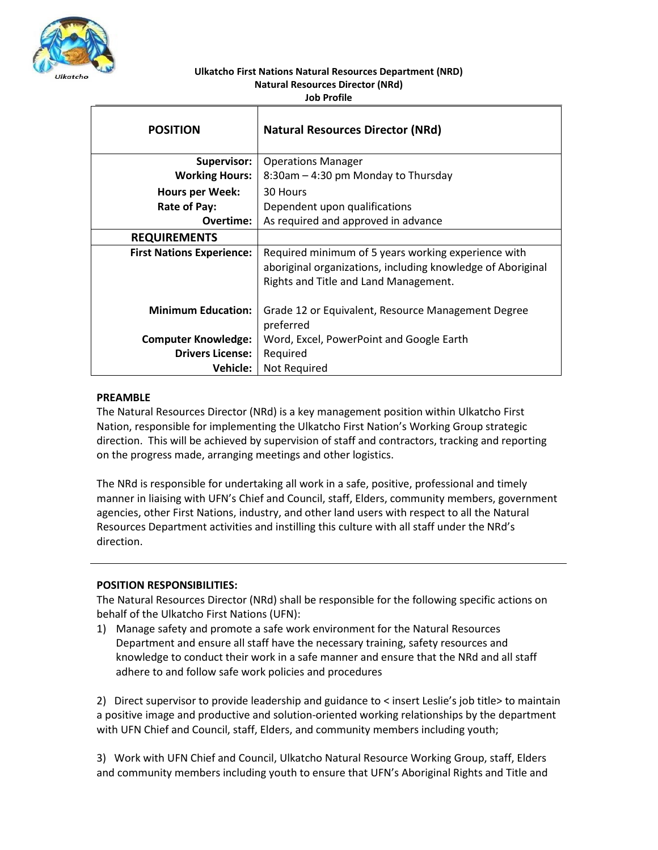

#### **Ulkatcho First Nations Natural Resources Department (NRD) Natural Resources Director (NRd) Job Profile**

| <b>POSITION</b>                  | <b>Natural Resources Director (NRd)</b>                         |
|----------------------------------|-----------------------------------------------------------------|
| <b>Supervisor:</b>               | <b>Operations Manager</b>                                       |
| <b>Working Hours:</b>            | 8:30am – 4:30 pm Monday to Thursday                             |
| <b>Hours per Week:</b>           | 30 Hours                                                        |
| Rate of Pay:                     | Dependent upon qualifications                                   |
| Overtime:                        | As required and approved in advance                             |
| <b>REQUIREMENTS</b>              |                                                                 |
| <b>First Nations Experience:</b> | Required minimum of 5 years working experience with             |
|                                  | aboriginal organizations, including knowledge of Aboriginal     |
|                                  | Rights and Title and Land Management.                           |
|                                  |                                                                 |
| <b>Minimum Education:</b>        | Grade 12 or Equivalent, Resource Management Degree<br>preferred |
| <b>Computer Knowledge:</b>       | Word, Excel, PowerPoint and Google Earth                        |
| <b>Drivers License:</b>          | Required                                                        |
| <b>Vehicle:</b>                  | Not Required                                                    |

## **PREAMBLE**

The Natural Resources Director (NRd) is a key management position within Ulkatcho First Nation, responsible for implementing the Ulkatcho First Nation's Working Group strategic direction. This will be achieved by supervision of staff and contractors, tracking and reporting on the progress made, arranging meetings and other logistics.

The NRd is responsible for undertaking all work in a safe, positive, professional and timely manner in liaising with UFN's Chief and Council, staff, Elders, community members, government agencies, other First Nations, industry, and other land users with respect to all the Natural Resources Department activities and instilling this culture with all staff under the NRd's direction.

# **POSITION RESPONSIBILITIES:**

The Natural Resources Director (NRd) shall be responsible for the following specific actions on behalf of the Ulkatcho First Nations (UFN):

1) Manage safety and promote a safe work environment for the Natural Resources Department and ensure all staff have the necessary training, safety resources and knowledge to conduct their work in a safe manner and ensure that the NRd and all staff adhere to and follow safe work policies and procedures

2) Direct supervisor to provide leadership and guidance to < insert Leslie's job title> to maintain a positive image and productive and solution-oriented working relationships by the department with UFN Chief and Council, staff, Elders, and community members including youth;

3) Work with UFN Chief and Council, Ulkatcho Natural Resource Working Group, staff, Elders and community members including youth to ensure that UFN's Aboriginal Rights and Title and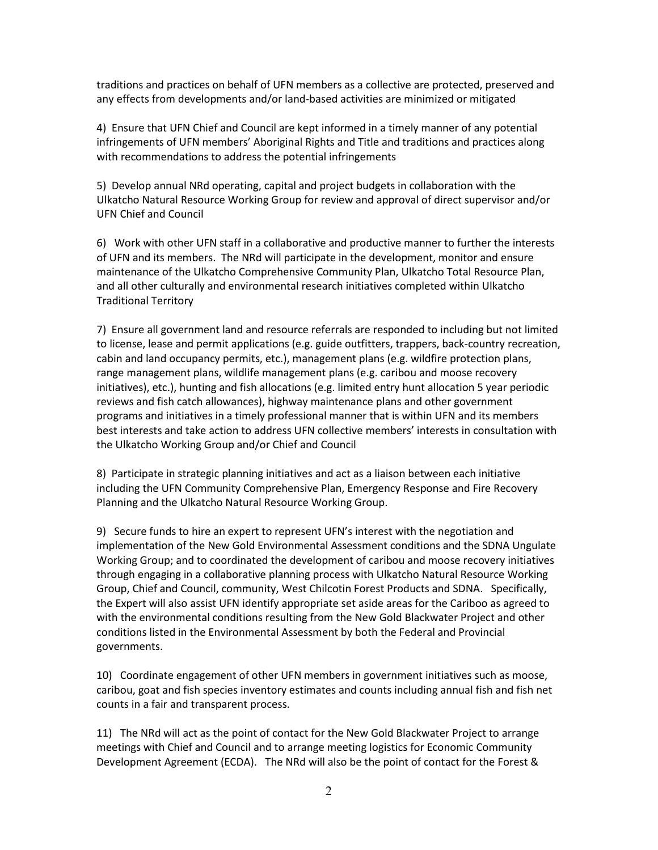traditions and practices on behalf of UFN members as a collective are protected, preserved and any effects from developments and/or land-based activities are minimized or mitigated

4) Ensure that UFN Chief and Council are kept informed in a timely manner of any potential infringements of UFN members' Aboriginal Rights and Title and traditions and practices along with recommendations to address the potential infringements

5) Develop annual NRd operating, capital and project budgets in collaboration with the Ulkatcho Natural Resource Working Group for review and approval of direct supervisor and/or UFN Chief and Council

6) Work with other UFN staff in a collaborative and productive manner to further the interests of UFN and its members. The NRd will participate in the development, monitor and ensure maintenance of the Ulkatcho Comprehensive Community Plan, Ulkatcho Total Resource Plan, and all other culturally and environmental research initiatives completed within Ulkatcho Traditional Territory

7) Ensure all government land and resource referrals are responded to including but not limited to license, lease and permit applications (e.g. guide outfitters, trappers, back-country recreation, cabin and land occupancy permits, etc.), management plans (e.g. wildfire protection plans, range management plans, wildlife management plans (e.g. caribou and moose recovery initiatives), etc.), hunting and fish allocations (e.g. limited entry hunt allocation 5 year periodic reviews and fish catch allowances), highway maintenance plans and other government programs and initiatives in a timely professional manner that is within UFN and its members best interests and take action to address UFN collective members' interests in consultation with the Ulkatcho Working Group and/or Chief and Council

8) Participate in strategic planning initiatives and act as a liaison between each initiative including the UFN Community Comprehensive Plan, Emergency Response and Fire Recovery Planning and the Ulkatcho Natural Resource Working Group.

9) Secure funds to hire an expert to represent UFN's interest with the negotiation and implementation of the New Gold Environmental Assessment conditions and the SDNA Ungulate Working Group; and to coordinated the development of caribou and moose recovery initiatives through engaging in a collaborative planning process with Ulkatcho Natural Resource Working Group, Chief and Council, community, West Chilcotin Forest Products and SDNA. Specifically, the Expert will also assist UFN identify appropriate set aside areas for the Cariboo as agreed to with the environmental conditions resulting from the New Gold Blackwater Project and other conditions listed in the Environmental Assessment by both the Federal and Provincial governments.

10) Coordinate engagement of other UFN members in government initiatives such as moose, caribou, goat and fish species inventory estimates and counts including annual fish and fish net counts in a fair and transparent process.

11) The NRd will act as the point of contact for the New Gold Blackwater Project to arrange meetings with Chief and Council and to arrange meeting logistics for Economic Community Development Agreement (ECDA). The NRd will also be the point of contact for the Forest &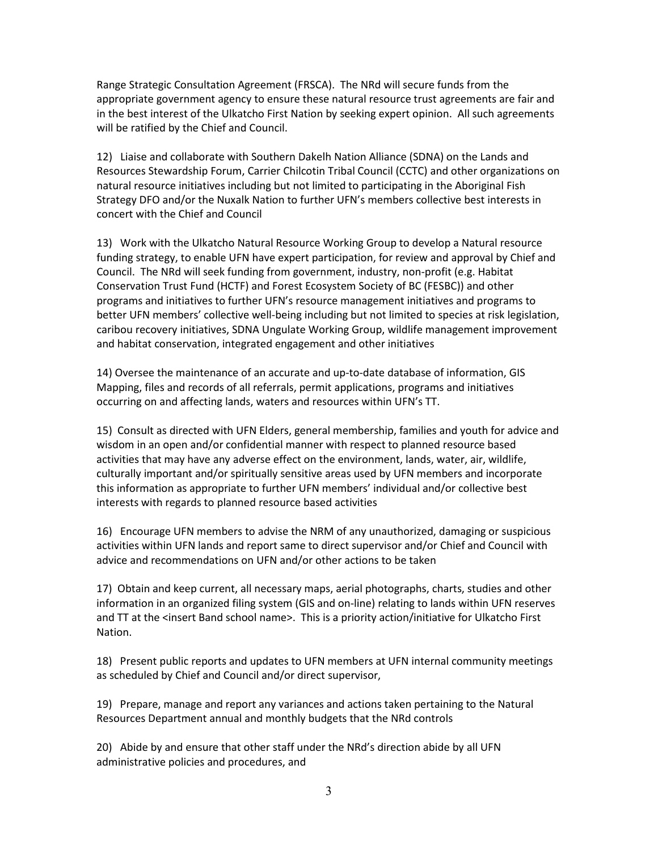Range Strategic Consultation Agreement (FRSCA). The NRd will secure funds from the appropriate government agency to ensure these natural resource trust agreements are fair and in the best interest of the Ulkatcho First Nation by seeking expert opinion. All such agreements will be ratified by the Chief and Council.

12) Liaise and collaborate with Southern Dakelh Nation Alliance (SDNA) on the Lands and Resources Stewardship Forum, Carrier Chilcotin Tribal Council (CCTC) and other organizations on natural resource initiatives including but not limited to participating in the Aboriginal Fish Strategy DFO and/or the Nuxalk Nation to further UFN's members collective best interests in concert with the Chief and Council

13) Work with the Ulkatcho Natural Resource Working Group to develop a Natural resource funding strategy, to enable UFN have expert participation, for review and approval by Chief and Council. The NRd will seek funding from government, industry, non-profit (e.g. Habitat Conservation Trust Fund (HCTF) and Forest Ecosystem Society of BC (FESBC)) and other programs and initiatives to further UFN's resource management initiatives and programs to better UFN members' collective well-being including but not limited to species at risk legislation, caribou recovery initiatives, SDNA Ungulate Working Group, wildlife management improvement and habitat conservation, integrated engagement and other initiatives

14) Oversee the maintenance of an accurate and up-to-date database of information, GIS Mapping, files and records of all referrals, permit applications, programs and initiatives occurring on and affecting lands, waters and resources within UFN's TT.

15) Consult as directed with UFN Elders, general membership, families and youth for advice and wisdom in an open and/or confidential manner with respect to planned resource based activities that may have any adverse effect on the environment, lands, water, air, wildlife, culturally important and/or spiritually sensitive areas used by UFN members and incorporate this information as appropriate to further UFN members' individual and/or collective best interests with regards to planned resource based activities

16) Encourage UFN members to advise the NRM of any unauthorized, damaging or suspicious activities within UFN lands and report same to direct supervisor and/or Chief and Council with advice and recommendations on UFN and/or other actions to be taken

17) Obtain and keep current, all necessary maps, aerial photographs, charts, studies and other information in an organized filing system (GIS and on-line) relating to lands within UFN reserves and TT at the <insert Band school name>. This is a priority action/initiative for Ulkatcho First Nation.

18) Present public reports and updates to UFN members at UFN internal community meetings as scheduled by Chief and Council and/or direct supervisor,

19) Prepare, manage and report any variances and actions taken pertaining to the Natural Resources Department annual and monthly budgets that the NRd controls

20) Abide by and ensure that other staff under the NRd's direction abide by all UFN administrative policies and procedures, and